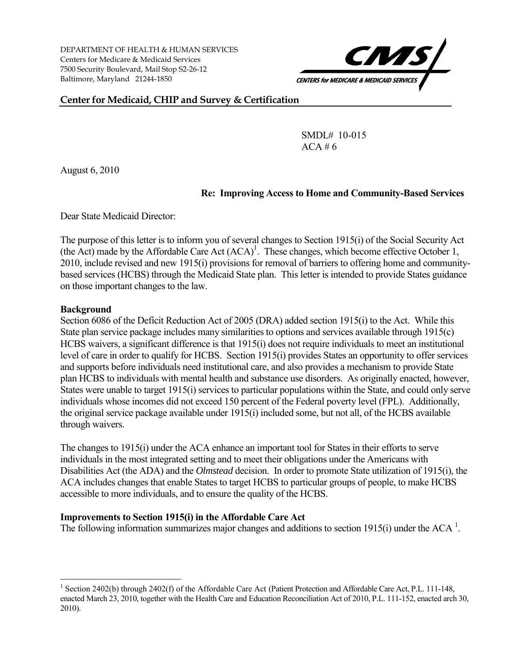DEPARTMENT OF HEALTH & HUMAN SERVICES Centers for Medicare & Medicaid Services 7500 Security Boulevard, Mail Stop S2-26-12 Baltimore, Maryland 21244-1850



**Center for Medicaid, CHIP and Survey & Certification** 

SMDL# 10-015  $ACA \# 6$ 

August 6, 2010

## **Re: Improving Access to Home and Community-Based Services**

Dear State Medicaid Director:

The purpose of this letter is to inform you of several changes to Section 1915(i) of the Social Security Act (the Act) made by the Affordable Care Act  $(ACA)^1$ . These changes, which become effective October 1, 2010, include revised and new 1915(i) provisions for removal of barriers to offering home and communitybased services (HCBS) through the Medicaid State plan. This letter is intended to provide States guidance on those important changes to the law.

## **Background**

 $\overline{a}$ 

Section 6086 of the Deficit Reduction Act of 2005 (DRA) added section 1915(i) to the Act. While this State plan service package includes many similarities to options and services available through 1915(c) HCBS waivers, a significant difference is that 1915(i) does not require individuals to meet an institutional level of care in order to qualify for HCBS. Section 1915(i) provides States an opportunity to offer services and supports before individuals need institutional care, and also provides a mechanism to provide State plan HCBS to individuals with mental health and substance use disorders. As originally enacted, however, States were unable to target 1915(i) services to particular populations within the State, and could only serve individuals whose incomes did not exceed 150 percent of the Federal poverty level (FPL). Additionally, the original service package available under 1915(i) included some, but not all, of the HCBS available through waivers.

The changes to 1915(i) under the ACA enhance an important tool for States in their efforts to serve individuals in the most integrated setting and to meet their obligations under the Americans with Disabilities Act (the ADA) and the *Olmstead* decision. In order to promote State utilization of 1915(i), the ACA includes changes that enable States to target HCBS to particular groups of people, to make HCBS accessible to more individuals, and to ensure the quality of the HCBS.

## **Improvements to Section 1915(i) in the Affordable Care Act**

The following information summarizes major changes and additions to section 1915(i) under the ACA<sup>1</sup>.

<sup>&</sup>lt;sup>1</sup> Section 2402(b) through 2402(f) of the Affordable Care Act (Patient Protection and Affordable Care Act, P.L. 111-148, enacted March 23, 2010, together with the Health Care and Education Reconciliation Act of 2010, P.L. 111-152, enacted arch 30, 2010).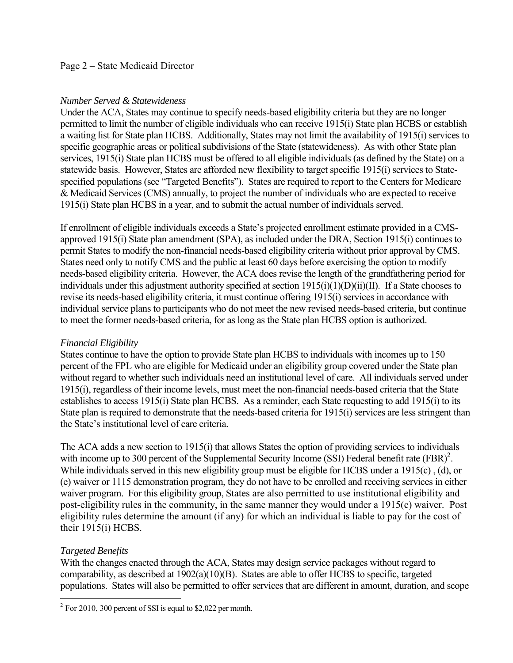#### Page 2 – State Medicaid Director

#### *Number Served & Statewideness*

Under the ACA, States may continue to specify needs-based eligibility criteria but they are no longer permitted to limit the number of eligible individuals who can receive 1915(i) State plan HCBS or establish a waiting list for State plan HCBS. Additionally, States may not limit the availability of 1915(i) services to specific geographic areas or political subdivisions of the State (statewi deness). As with other State plan services, 1915(i) State plan HCBS must be offered to all eligible individuals (as defined by the State) on a statewide basis. However, States are afforded new flexibility to target specific 1915(i) services to Statespecified populations (see "Targeted Benefits"). States are required to report to the Centers for Medicare & Medicaid Services (CMS) annually, to project the number of individuals who are expected to receive 1915(i) State plan HCBS in a year, and to submit the actual number of individuals served.

If enrollment of eligible individuals exceeds a State's projected enrollment estimate provided in a CMSapproved 1915(i) State plan amendment (SPA), as included under the DRA, Section 1915(i) continues to permit States to modify the non-financial needs-based eligibility criteria without prior approval by CMS. States need only to notify CMS and the public at least 60 days before exercising the option to modify needs-based eligibility criteria. However, the ACA does revise the length of the grandfathering period for individuals under this adjustment authority specified at section 1915(i)(1)(D)(ii)(II). If a State chooses to revise its needs-based eligibility criteria, it must continue offering 1915(i) services in accordance with individual service plans to participants who do not meet the new revised needs-based criteria, but continue to meet the former needs-based criteria, for as long as the State plan HCBS option is authorized.

#### *Financial Eligibility*

States continue to have the option to provide State plan HCBS to individuals with incomes up to 150 percent of the FPL who are eligible for Medicaid under an eligibility group covered under the State plan without regard to whether such individuals need an institutional level of care. All individuals served under 1915(i), regardless of their income levels, must meet the non-financial needs-based criteria that the State establishes to access 1915(i) State plan HCBS. As a reminder, each State requesting to add 1915(i) to its State plan is required to demonstrate that the needs-based criteria for 1915(i) services are less stringent than the State's institutional level of care criteria.

The ACA adds a new section to 1915(i) that allows States the option of providing services to individuals with income up to 300 percent of the Supplemental Security Income (SSI) Federal benefit rate  $(FBR)^2$ . While individuals served in this new eligibility group must be eligible for HCBS under a 1915(c), (d), or (e) waiver or 1115 demonstration program, they do not have to be enrolled and receiving services in either waiver program. For this eligibility group, States are also permitted to use institutional eligibility and post-eligibility rules in the community, in the same manner they would under a 1915(c) waiver. Post eligibility rules determine the amount (if any) for which an individual is liable to pay for the cost of their 1915(i) HCBS.

## *Targeted Benefits*

With the changes enacted through the ACA, States may design service packages without regard to comparability, as described at 1902(a)(10)(B). States are able to offer HCBS to specific, targeted populations. States will also be permitted to offer services that are different in amount, duration, and scope

<sup>&</sup>lt;sup>2</sup> For 2010, 300 percent of SSI is equal to \$2,022 per month.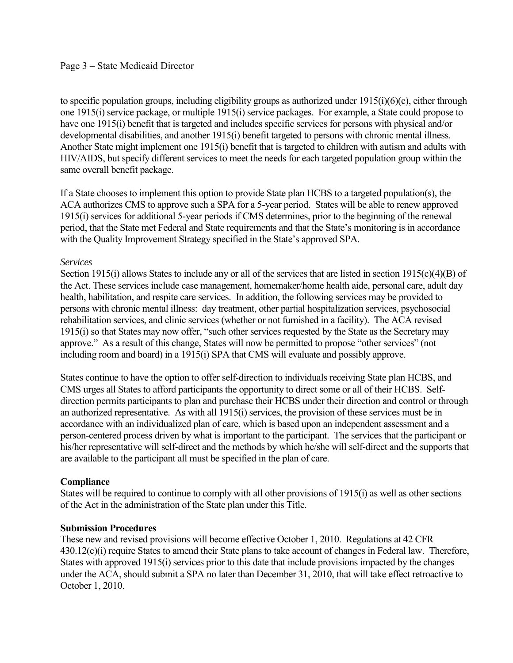#### Page 3 – State Medicaid Director

to specific population groups, including eligibility groups as authorized u nder 1915(i)(6)(c), either through one 1915(i) service package, or multiple 1915(i) service packages. For e xample, a State could propose to have one 1915(i) benefit that is targeted and includes specific services for persons with physical and/or developmental disabilities, and another 1915(i) benefit targeted to persons with chronic mental illness. Another State might implement one 1915(i) benefit that is targeted to children with autism and adults with HIV/AIDS, but specify different services to meet the needs for each targeted population group within the same overall benefit package.

If a State chooses to implement this option to provide State plan HCBS to a targeted population(s), the ACA authorizes CMS to approve such a SPA for a 5-year period. States will be able to renew approved 1915(i) services for additional 5-year periods if CMS determines, prior to the beginning of the renewal period, that the State met Federal and State requirements and that the State's monitoring is in accordance with the Quality Improvement Strategy specified in the State's approved SPA.

#### *Services*

Section 1915(i) allows States to include any or all of the services that are listed in section  $1915(c)(4)(B)$  of the Act. These services include case management, homemaker/home health aide, personal care, adult day health, habilitation, and respite care services. In addition, the following services may be provided to persons with chronic mental illness: day treatment, other partial hospitalization services, psychosocial rehabilitation services, and clinic services (whether or not furnished in a facility). The ACA revised 1915(i) so that States may now offer, "such other services requested by the State as the Secretary may approve." As a result of this change, States will now be permitted to propose "other services" (not including room and board) in a 1915(i) SPA that CMS will evaluate and possibly approve.

States continue to have the option to offer self-direction to individuals receiving State plan HCBS, and CMS urges all States to afford participants the opportunity to direct some or all of their HCBS. Selfdirection permits participants to plan and purchase their HCBS under their direction and control or through an authorized representative. As with all 1915(i) services, the provision of these services must be in accordance with an individualized plan of care, which is based upon an independent assessment and a person-centered process driven by what is important to the participant. The services that the participant or his/her representative will self-direct and the methods by which he/she will self-direct and the supports that are available to the participant all must be specified in the plan of care.

## **Compliance**

States will be required to continue to comply with all other provisions of 1915(i) as well as other sections of the Act in the administration of the State plan under this Title.

#### **Submission Procedures**

These new and revised provisions will become effective October 1, 2010. Regulations at 42 CFR 430.12(c)(i) require States to amend their State plans to take account of changes in Federal law. Therefore, States with approved 1915(i) services prior to this date that include provisions impacted by the changes under the ACA, should submit a SPA no later than December 31, 2010, that will take effect retroactive to October 1, 2010.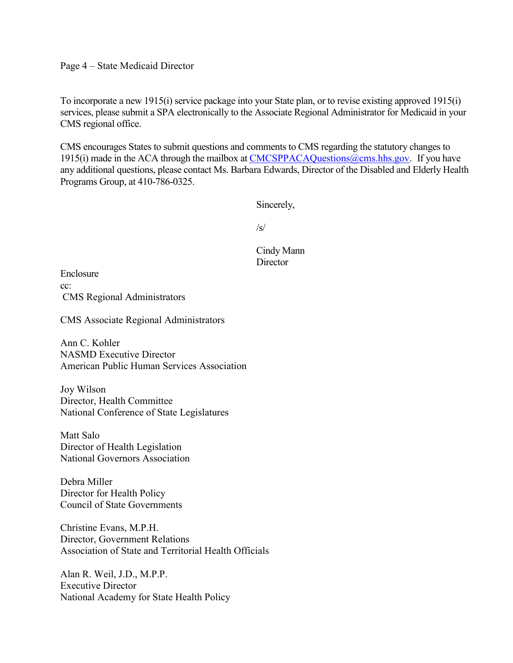Page 4 – State Medicaid Director

To incorporate a new 1915(i) service package into your State plan, or to revise existing approved 1915(i) services, please submit a SPA electronically to the Associate Regional Administrator for Medicaid in your CMS regional office.

CMS encourages States to submit questions and comments to CMS regarding the statutory changes to 1915(i) made in the ACA through the mailbox at CMCSPPACAQuestions $@cms.hhs.gov$ . If you have any additional questions, please contact Ms. Barbara Edwards, Director of the Disabled and Elderly Health Programs Group, at 410-786-0325.

Sincerely,

 $/s/$ 

Cindy Mann **Director** 

Enclosure cc: CMS Regional Administrators

CMS Associate Regional Administrators

Ann C. Kohler NASMD Executive Director American Public Human Services Association

Joy Wilson Director, Health Committee National Conference of State Legislatures

Matt Salo Director of Health Legislation National Governors Association

Debra Miller Director for Health Policy Council of State Governments

Christine Evans, M.P.H. Director, Government Relations Association of State and Territorial Health Officials

Alan R. Weil, J.D., M.P.P. Executive Director National Academy for State Health Policy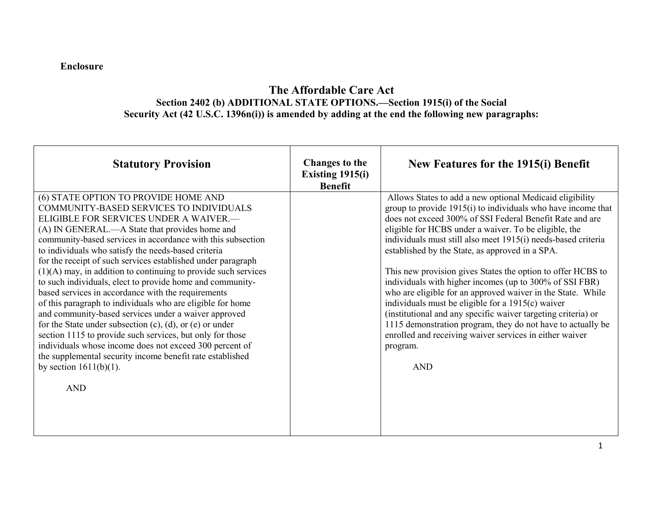## **Enclosure**

# **The Affordable Care Act Section 2402 (b) ADDITIONAL STATE OPTIONS.—Section 1915(i) of the Social Security Act (42 U.S.C. 1396n(i)) is amended by adding at the end the following new paragraphs:**

| <b>Statutory Provision</b>                                                                                                                                                                                                                                                                                                                                                                                                                                                                                                                                                                                                                                                                                                                                                                                                                                                                                                                                                         | <b>Changes to the</b><br>Existing $1915(i)$<br><b>Benefit</b> | New Features for the 1915(i) Benefit                                                                                                                                                                                                                                                                                                                                                                                                                                                                                                                                                                                                                                                                                                                                                                                                   |
|------------------------------------------------------------------------------------------------------------------------------------------------------------------------------------------------------------------------------------------------------------------------------------------------------------------------------------------------------------------------------------------------------------------------------------------------------------------------------------------------------------------------------------------------------------------------------------------------------------------------------------------------------------------------------------------------------------------------------------------------------------------------------------------------------------------------------------------------------------------------------------------------------------------------------------------------------------------------------------|---------------------------------------------------------------|----------------------------------------------------------------------------------------------------------------------------------------------------------------------------------------------------------------------------------------------------------------------------------------------------------------------------------------------------------------------------------------------------------------------------------------------------------------------------------------------------------------------------------------------------------------------------------------------------------------------------------------------------------------------------------------------------------------------------------------------------------------------------------------------------------------------------------------|
| (6) STATE OPTION TO PROVIDE HOME AND<br>COMMUNITY-BASED SERVICES TO INDIVIDUALS<br>ELIGIBLE FOR SERVICES UNDER A WAIVER.-<br>(A) IN GENERAL.—A State that provides home and<br>community-based services in accordance with this subsection<br>to individuals who satisfy the needs-based criteria<br>for the receipt of such services established under paragraph<br>$(1)(A)$ may, in addition to continuing to provide such services<br>to such individuals, elect to provide home and community-<br>based services in accordance with the requirements<br>of this paragraph to individuals who are eligible for home<br>and community-based services under a waiver approved<br>for the State under subsection $(c)$ , $(d)$ , or $(e)$ or under<br>section 1115 to provide such services, but only for those<br>individuals whose income does not exceed 300 percent of<br>the supplemental security income benefit rate established<br>by section $1611(b)(1)$ .<br><b>AND</b> |                                                               | Allows States to add a new optional Medicaid eligibility<br>group to provide 1915(i) to individuals who have income that<br>does not exceed 300% of SSI Federal Benefit Rate and are<br>eligible for HCBS under a waiver. To be eligible, the<br>individuals must still also meet 1915(i) needs-based criteria<br>established by the State, as approved in a SPA.<br>This new provision gives States the option to offer HCBS to<br>individuals with higher incomes (up to 300% of SSI FBR)<br>who are eligible for an approved waiver in the State. While<br>individuals must be eligible for a $1915(c)$ waiver<br>(institutional and any specific waiver targeting criteria) or<br>1115 demonstration program, they do not have to actually be<br>enrolled and receiving waiver services in either waiver<br>program.<br><b>AND</b> |
|                                                                                                                                                                                                                                                                                                                                                                                                                                                                                                                                                                                                                                                                                                                                                                                                                                                                                                                                                                                    |                                                               |                                                                                                                                                                                                                                                                                                                                                                                                                                                                                                                                                                                                                                                                                                                                                                                                                                        |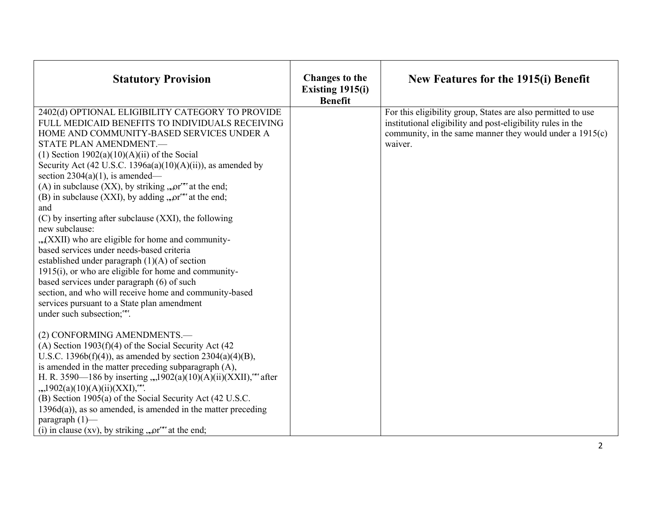| <b>Statutory Provision</b>                                                                                                                                                                                                                                                                                                                                                                                                                                                                                                                                                                                                                                                                                                                                                                                                                                                                                                                                 | <b>Changes to the</b><br>Existing 1915(i)<br><b>Benefit</b> | New Features for the 1915(i) Benefit                                                                                                                                                                 |
|------------------------------------------------------------------------------------------------------------------------------------------------------------------------------------------------------------------------------------------------------------------------------------------------------------------------------------------------------------------------------------------------------------------------------------------------------------------------------------------------------------------------------------------------------------------------------------------------------------------------------------------------------------------------------------------------------------------------------------------------------------------------------------------------------------------------------------------------------------------------------------------------------------------------------------------------------------|-------------------------------------------------------------|------------------------------------------------------------------------------------------------------------------------------------------------------------------------------------------------------|
| 2402(d) OPTIONAL ELIGIBILITY CATEGORY TO PROVIDE<br>FULL MEDICAID BENEFITS TO INDIVIDUALS RECEIVING<br>HOME AND COMMUNITY-BASED SERVICES UNDER A<br>STATE PLAN AMENDMENT.-<br>(1) Section $1902(a)(10)(A)(ii)$ of the Social<br>Security Act (42 U.S.C. 1396a(a)(10)(A)(ii)), as amended by<br>section $2304(a)(1)$ , is amended—<br>(A) in subclause (XX), by striking , , or $\cdot$ at the end;<br>(B) in subclause $(XXI)$ , by adding , or $\alpha$ at the end;<br>and<br>(C) by inserting after subclause (XXI), the following<br>new subclause:<br>"x(XXII) who are eligible for home and community-<br>based services under needs-based criteria<br>established under paragraph $(1)(A)$ of section<br>$1915(i)$ , or who are eligible for home and community-<br>based services under paragraph (6) of such<br>section, and who will receive home and community-based<br>services pursuant to a State plan amendment<br>under such subsection;"". |                                                             | For this eligibility group, States are also permitted to use<br>institutional eligibility and post-eligibility rules in the<br>community, in the same manner they would under a $1915(c)$<br>waiver. |
| (2) CONFORMING AMENDMENTS.-<br>(A) Section $1903(f)(4)$ of the Social Security Act (42)<br>U.S.C. 1396b(f)(4)), as amended by section $2304(a)(4)(B)$ ,<br>is amended in the matter preceding subparagraph (A),<br>H. R. 3590-186 by inserting ,,,1902(a)(10)(A)(ii)(XXII),"** after<br>$,2.1902(a)(10)(A)(ii)(XXI),$ <sup>***</sup> .<br>(B) Section 1905(a) of the Social Security Act (42 U.S.C.<br>$1396d(a)$ , as so amended, is amended in the matter preceding<br>paragraph $(1)$ —<br>(i) in clause (xv), by striking , $n^{\text{cm}}$ at the end;                                                                                                                                                                                                                                                                                                                                                                                                |                                                             |                                                                                                                                                                                                      |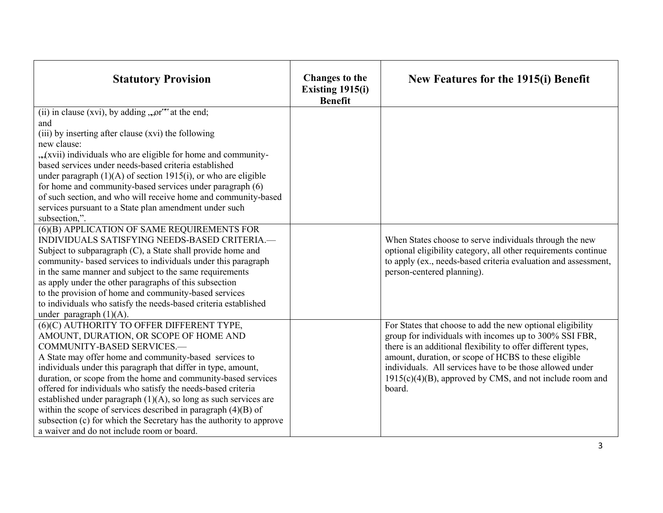| <b>Statutory Provision</b>                                                                                                                                                                                                                                                                                                                                                                                                                                                                                                                                                                                                                   | <b>Changes to the</b><br>Existing $1915(i)$<br><b>Benefit</b> | New Features for the 1915(i) Benefit                                                                                                                                                                                                                                                                                                                                              |
|----------------------------------------------------------------------------------------------------------------------------------------------------------------------------------------------------------------------------------------------------------------------------------------------------------------------------------------------------------------------------------------------------------------------------------------------------------------------------------------------------------------------------------------------------------------------------------------------------------------------------------------------|---------------------------------------------------------------|-----------------------------------------------------------------------------------------------------------------------------------------------------------------------------------------------------------------------------------------------------------------------------------------------------------------------------------------------------------------------------------|
| (ii) in clause (xvi), by adding $,$ or $\alpha$ at the end;<br>and<br>(iii) by inserting after clause (xvi) the following<br>new clause:<br>"xvii) individuals who are eligible for home and community-<br>based services under needs-based criteria established<br>under paragraph $(1)(A)$ of section 1915(i), or who are eligible<br>for home and community-based services under paragraph (6)<br>of such section, and who will receive home and community-based<br>services pursuant to a State plan amendment under such<br>subsection,".                                                                                               |                                                               |                                                                                                                                                                                                                                                                                                                                                                                   |
| (6)(B) APPLICATION OF SAME REQUIREMENTS FOR<br>INDIVIDUALS SATISFYING NEEDS-BASED CRITERIA.-<br>Subject to subparagraph (C), a State shall provide home and<br>community- based services to individuals under this paragraph<br>in the same manner and subject to the same requirements<br>as apply under the other paragraphs of this subsection<br>to the provision of home and community-based services<br>to individuals who satisfy the needs-based criteria established<br>under paragraph $(1)(A)$ .                                                                                                                                  |                                                               | When States choose to serve individuals through the new<br>optional eligibility category, all other requirements continue<br>to apply (ex., needs-based criteria evaluation and assessment,<br>person-centered planning).                                                                                                                                                         |
| (6)(C) AUTHORITY TO OFFER DIFFERENT TYPE,<br>AMOUNT, DURATION, OR SCOPE OF HOME AND<br>COMMUNITY-BASED SERVICES.-<br>A State may offer home and community-based services to<br>individuals under this paragraph that differ in type, amount,<br>duration, or scope from the home and community-based services<br>offered for individuals who satisfy the needs-based criteria<br>established under paragraph $(1)(A)$ , so long as such services are<br>within the scope of services described in paragraph $(4)(B)$ of<br>subsection (c) for which the Secretary has the authority to approve<br>a waiver and do not include room or board. |                                                               | For States that choose to add the new optional eligibility<br>group for individuals with incomes up to 300% SSI FBR,<br>there is an additional flexibility to offer different types,<br>amount, duration, or scope of HCBS to these eligible<br>individuals. All services have to be those allowed under<br>$1915(c)(4)(B)$ , approved by CMS, and not include room and<br>board. |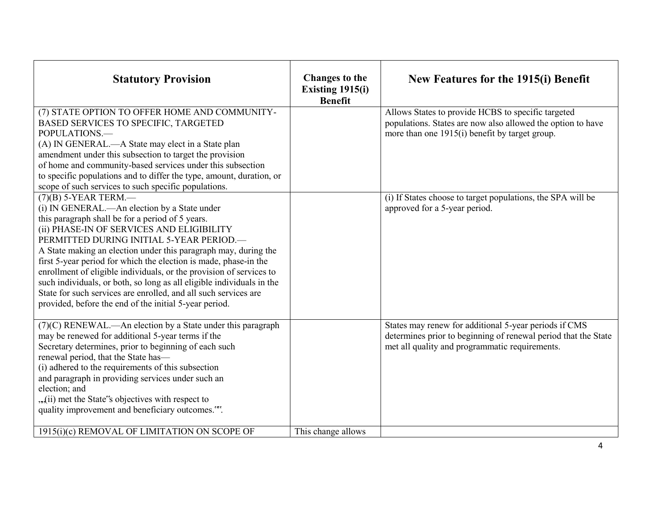| <b>Statutory Provision</b>                                                                                                                                                                                                                                                                                                                                                                                                                                                                                                                                                                                                               | <b>Changes to the</b><br>Existing 1915(i)<br><b>Benefit</b> | New Features for the 1915(i) Benefit                                                                                                                                      |
|------------------------------------------------------------------------------------------------------------------------------------------------------------------------------------------------------------------------------------------------------------------------------------------------------------------------------------------------------------------------------------------------------------------------------------------------------------------------------------------------------------------------------------------------------------------------------------------------------------------------------------------|-------------------------------------------------------------|---------------------------------------------------------------------------------------------------------------------------------------------------------------------------|
| (7) STATE OPTION TO OFFER HOME AND COMMUNITY-<br><b>BASED SERVICES TO SPECIFIC, TARGETED</b><br>POPULATIONS.<br>(A) IN GENERAL.—A State may elect in a State plan<br>amendment under this subsection to target the provision<br>of home and community-based services under this subsection<br>to specific populations and to differ the type, amount, duration, or<br>scope of such services to such specific populations.                                                                                                                                                                                                               |                                                             | Allows States to provide HCBS to specific targeted<br>populations. States are now also allowed the option to have<br>more than one 1915(i) benefit by target group.       |
| $(7)$ (B) 5-YEAR TERM.—<br>(i) IN GENERAL.—An election by a State under<br>this paragraph shall be for a period of 5 years.<br>(ii) PHASE-IN OF SERVICES AND ELIGIBILITY<br>PERMITTED DURING INITIAL 5-YEAR PERIOD.-<br>A State making an election under this paragraph may, during the<br>first 5-year period for which the election is made, phase-in the<br>enrollment of eligible individuals, or the provision of services to<br>such individuals, or both, so long as all eligible individuals in the<br>State for such services are enrolled, and all such services are<br>provided, before the end of the initial 5-year period. |                                                             | (i) If States choose to target populations, the SPA will be<br>approved for a 5-year period.                                                                              |
| (7)(C) RENEWAL.—An election by a State under this paragraph<br>may be renewed for additional 5-year terms if the<br>Secretary determines, prior to beginning of each such<br>renewal period, that the State has-<br>(i) adhered to the requirements of this subsection<br>and paragraph in providing services under such an<br>election; and<br>"(ii) met the State's objectives with respect to<br>quality improvement and beneficiary outcomes."**.<br>1915(i)(c) REMOVAL OF LIMITATION ON SCOPE OF                                                                                                                                    |                                                             | States may renew for additional 5-year periods if CMS<br>determines prior to beginning of renewal period that the State<br>met all quality and programmatic requirements. |
|                                                                                                                                                                                                                                                                                                                                                                                                                                                                                                                                                                                                                                          | This change allows                                          |                                                                                                                                                                           |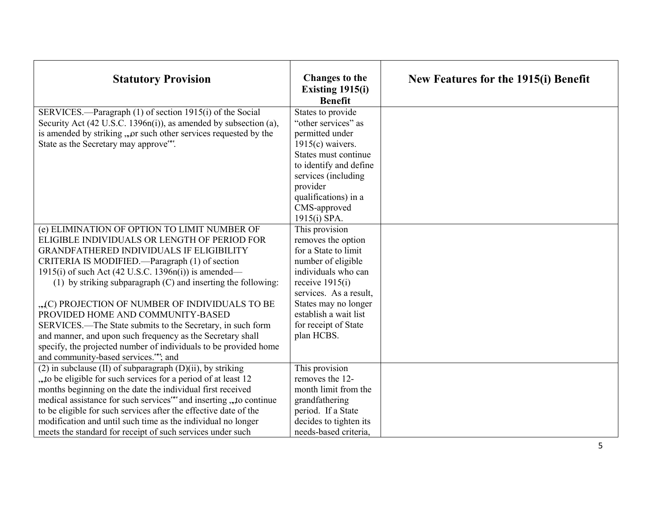| <b>Statutory Provision</b>                                                                                                                                                                                                                                                                                                                                                                                                                                                                                                                                                                                                                                 | <b>Changes to the</b><br>Existing 1915(i)<br><b>Benefit</b>                                                                                                                                                                                                     | New Features for the 1915(i) Benefit |
|------------------------------------------------------------------------------------------------------------------------------------------------------------------------------------------------------------------------------------------------------------------------------------------------------------------------------------------------------------------------------------------------------------------------------------------------------------------------------------------------------------------------------------------------------------------------------------------------------------------------------------------------------------|-----------------------------------------------------------------------------------------------------------------------------------------------------------------------------------------------------------------------------------------------------------------|--------------------------------------|
| SERVICES.—Paragraph (1) of section 1915(i) of the Social<br>Security Act (42 U.S.C. 1396n(i)), as amended by subsection (a),<br>is amended by striking, "or such other services requested by the<br>State as the Secretary may approve".                                                                                                                                                                                                                                                                                                                                                                                                                   | States to provide<br>"other services" as<br>permitted under<br>$1915(c)$ waivers.<br>States must continue<br>to identify and define<br>services (including<br>provider<br>qualifications) in a<br>CMS-approved                                                  |                                      |
| (e) ELIMINATION OF OPTION TO LIMIT NUMBER OF<br>ELIGIBLE INDIVIDUALS OR LENGTH OF PERIOD FOR<br><b>GRANDFATHERED INDIVIDUALS IF ELIGIBILITY</b><br>CRITERIA IS MODIFIED.—Paragraph (1) of section<br>1915(i) of such Act (42 U.S.C. 1396n(i)) is amended—<br>(1) by striking subparagraph $(C)$ and inserting the following:<br>"C) PROJECTION OF NUMBER OF INDIVIDUALS TO BE<br>PROVIDED HOME AND COMMUNITY-BASED<br>SERVICES.—The State submits to the Secretary, in such form<br>and manner, and upon such frequency as the Secretary shall<br>specify, the projected number of individuals to be provided home<br>and community-based services."*; and | 1915(i) SPA.<br>This provision<br>removes the option<br>for a State to limit<br>number of eligible<br>individuals who can<br>receive $1915(i)$<br>services. As a result,<br>States may no longer<br>establish a wait list<br>for receipt of State<br>plan HCBS. |                                      |
| $(2)$ in subclause (II) of subparagraph $(D)(ii)$ , by striking<br>"to be eligible for such services for a period of at least 12<br>months beginning on the date the individual first received<br>medical assistance for such services *** and inserting , , to continue<br>to be eligible for such services after the effective date of the<br>modification and until such time as the individual no longer<br>meets the standard for receipt of such services under such                                                                                                                                                                                 | This provision<br>removes the 12-<br>month limit from the<br>grandfathering<br>period. If a State<br>decides to tighten its<br>needs-based criteria,                                                                                                            |                                      |